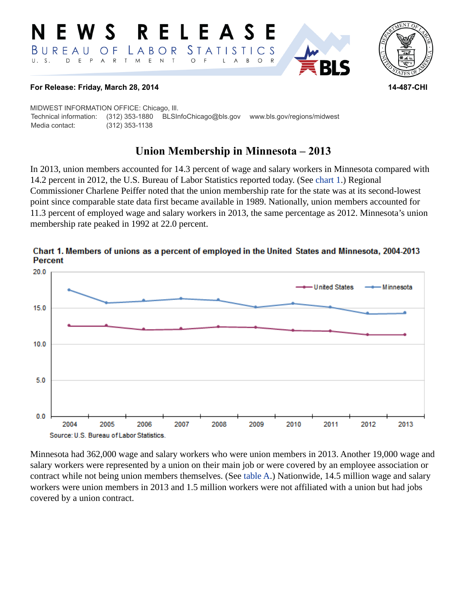#### **RELEAS**  $\mathbf S$ *STATISTICS* BUREAU LABOR O F  $E$ E P  $\overline{A}$  ${\sf R}$  $\top$ M  $\mathsf{N}$  $\top$  $\circ$ B  $\circ$ D A



### **For Release: Friday, March 28, 2014 14-487-CHI**

MIDWEST INFORMATION OFFICE: Chicago, Ill. Technical information: (312) 353-1880 BLSInfoChicago@bls.gov www.bls.gov/regions/midwest Media contact: (312) 353-1138

# **Union Membership in Minnesota – 2013**

In 2013, union members accounted for 14.3 percent of wage and salary workers in Minnesota compared with 14.2 percent in 2012, the U.S. Bureau of Labor Statistics reported today. (See [chart 1.](#page-0-0)) Regional Commissioner Charlene Peiffer noted that the union membership rate for the state was at its second-lowest point since comparable state data first became available in 1989. Nationally, union members accounted for 11.3 percent of employed wage and salary workers in 2013, the same percentage as 2012. Minnesota's union membership rate peaked in 1992 at 22.0 percent.



## <span id="page-0-0"></span>Chart 1. Members of unions as a percent of employed in the United States and Minnesota, 2004-2013 **Percent**

Minnesota had 362,000 wage and salary workers who were union members in 2013. Another 19,000 wage and salary workers were represented by a union on their main job or were covered by an employee association or contract while not being union members themselves. (See [table A.](#page-1-0)) Nationwide, 14.5 million wage and salary workers were union members in 2013 and 1.5 million workers were not affiliated with a union but had jobs covered by a union contract.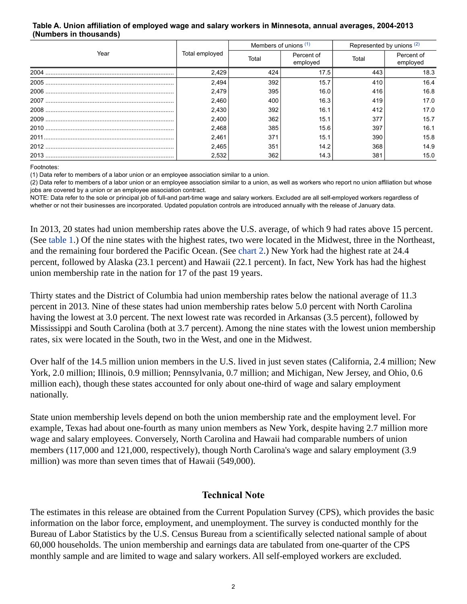#### <span id="page-1-0"></span>**Table A. Union affiliation of employed wage and salary workers in Minnesota, annual averages, 2004-2013 (Numbers in thousands)**

|      |                | Members of unions (1) |                        | Represented by unions (2) |                        |  |
|------|----------------|-----------------------|------------------------|---------------------------|------------------------|--|
| Year | Total employed | Total                 | Percent of<br>employed | Total                     | Percent of<br>employed |  |
|      | 2,429          | 424                   | 17.5                   | 443                       | 18.3                   |  |
|      | 2,494          | 392                   | 15.7                   | 410                       | 16.4                   |  |
|      | 2,479          | 395                   | 16.0                   | 416                       | 16.8                   |  |
|      | 2,460          | 400                   | 16.3                   | 419                       | 17.0                   |  |
|      | 2,430          | 392                   | 16.1                   | 412                       | 17.0                   |  |
|      | 2,400          | 362                   | 15.1                   | 377                       | 15.7                   |  |
|      | 2,468          | 385                   | 15.6                   | 397                       | 16.1                   |  |
|      | 2,461          | 371                   | 15.1                   | 390                       | 15.8                   |  |
|      | 2,465          | 351                   | 14.2                   | 368                       | 14.9                   |  |
|      | 2,532          | 362                   | 14.3                   | 381                       | 15.0                   |  |

Footnotes:

<span id="page-1-1"></span>(1) Data refer to members of a labor union or an employee association similar to a union.

<span id="page-1-2"></span>(2) Data refer to members of a labor union or an employee association similar to a union, as well as workers who report no union affiliation but whose jobs are covered by a union or an employee association contract.

NOTE: Data refer to the sole or principal job of full-and part-time wage and salary workers. Excluded are all self-employed workers regardless of whether or not their businesses are incorporated. Updated population controls are introduced annually with the release of January data.

In 2013, 20 states had union membership rates above the U.S. average, of which 9 had rates above 15 percent. (See [table 1](#page-3-0).) Of the nine states with the highest rates, two were located in the Midwest, three in the Northeast, and the remaining four bordered the Pacific Ocean. (See [chart 2.](#page-4-0)) New York had the highest rate at 24.4 percent, followed by Alaska (23.1 percent) and Hawaii (22.1 percent). In fact, New York has had the highest union membership rate in the nation for 17 of the past 19 years.

Thirty states and the District of Columbia had union membership rates below the national average of 11.3 percent in 2013. Nine of these states had union membership rates below 5.0 percent with North Carolina having the lowest at 3.0 percent. The next lowest rate was recorded in Arkansas (3.5 percent), followed by Mississippi and South Carolina (both at 3.7 percent). Among the nine states with the lowest union membership rates, six were located in the South, two in the West, and one in the Midwest.

Over half of the 14.5 million union members in the U.S. lived in just seven states (California, 2.4 million; New York, 2.0 million; Illinois, 0.9 million; Pennsylvania, 0.7 million; and Michigan, New Jersey, and Ohio, 0.6 million each), though these states accounted for only about one-third of wage and salary employment nationally.

State union membership levels depend on both the union membership rate and the employment level. For example, Texas had about one-fourth as many union members as New York, despite having 2.7 million more wage and salary employees. Conversely, North Carolina and Hawaii had comparable numbers of union members (117,000 and 121,000, respectively), though North Carolina's wage and salary employment (3.9 million) was more than seven times that of Hawaii (549,000).

## **Technical Note**

The estimates in this release are obtained from the Current Population Survey (CPS), which provides the basic information on the labor force, employment, and unemployment. The survey is conducted monthly for the Bureau of Labor Statistics by the U.S. Census Bureau from a scientifically selected national sample of about 60,000 households. The union membership and earnings data are tabulated from one-quarter of the CPS monthly sample and are limited to wage and salary workers. All self-employed workers are excluded.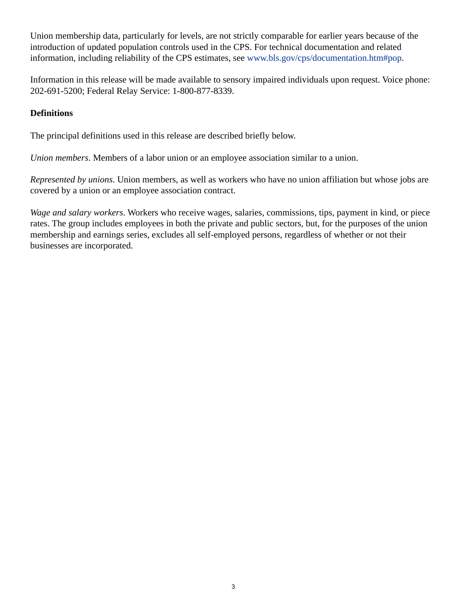Union membership data, particularly for levels, are not strictly comparable for earlier years because of the introduction of updated population controls used in the CPS. For technical documentation and related information, including reliability of the CPS estimates, see [www.bls.gov/cps/documentation.htm#pop.](https://www.bls.gov/cps/documentation.htm#pop)

Information in this release will be made available to sensory impaired individuals upon request. Voice phone: 202-691-5200; Federal Relay Service: 1-800-877-8339.

# **Definitions**

The principal definitions used in this release are described briefly below.

*Union members*. Members of a labor union or an employee association similar to a union.

*Represented by unions*. Union members, as well as workers who have no union affiliation but whose jobs are covered by a union or an employee association contract.

*Wage and salary workers*. Workers who receive wages, salaries, commissions, tips, payment in kind, or piece rates. The group includes employees in both the private and public sectors, but, for the purposes of the union membership and earnings series, excludes all self-employed persons, regardless of whether or not their businesses are incorporated.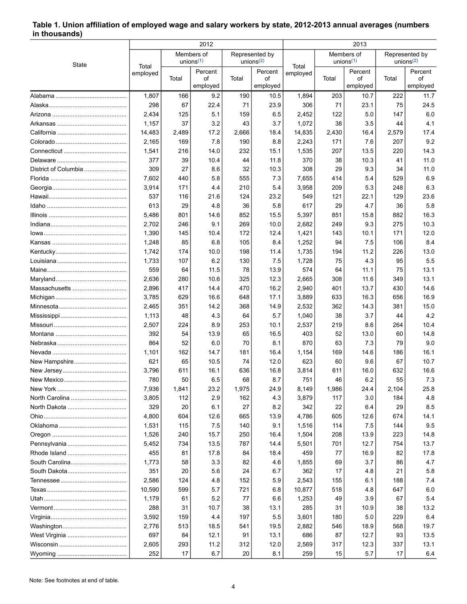### <span id="page-3-0"></span>**Table 1. Union affiliation of employed wage and salary workers by state, 2012-2013 annual averages (numbers in thousands)**

|                      | 2012              |       |                            |                                                      | 2013     |                                  |                            |                |                                |                |
|----------------------|-------------------|-------|----------------------------|------------------------------------------------------|----------|----------------------------------|----------------------------|----------------|--------------------------------|----------------|
|                      |                   |       | Members of<br>unions $(1)$ | Represented by<br>unions <sup><math>(2)</math></sup> |          |                                  | Members of<br>unions $(1)$ |                | Represented by<br>unions $(2)$ |                |
| State                | Total<br>employed |       | Percent                    |                                                      | Percent  | Total<br>employed<br>οf<br>Total |                            | Percent        |                                | Percent        |
|                      |                   | Total | οf<br>employed             | Total                                                | employed |                                  |                            | οf<br>employed | Total                          | of<br>employed |
|                      | 1,807             | 166   | 9.2                        | 190                                                  | 10.5     | 1,894                            | 203                        | 10.7           | 222                            | 11.7           |
|                      | 298               | 67    | 22.4                       | 71                                                   | 23.9     | 306                              | 71                         | 23.1           | 75                             | 24.5           |
|                      | 2,434             | 125   | 5.1                        | 159                                                  | 6.5      | 2,452                            | 122                        | 5.0            | 147                            | 6.0            |
|                      | 1,157             | 37    | 3.2                        | 43                                                   | 3.7      | 1,072                            | 38                         | 3.5            | 44                             | 4.1            |
|                      | 14,483            | 2,489 | 17.2                       | 2,666                                                | 18.4     | 14,835                           | 2,430                      | 16.4           | 2,579                          | 17.4           |
|                      | 2,165             | 169   | 7.8                        | 190                                                  | 8.8      | 2,243                            | 171                        | 7.6            | 207                            | 9.2            |
|                      | 1,541             | 216   | 14.0                       | 232                                                  | 15.1     | 1,535                            | 207                        | 13.5           | 220                            | 14.3           |
|                      | 377               | 39    | 10.4                       | 44                                                   | 11.8     | 370                              | 38                         | 10.3           | 41                             | 11.0           |
| District of Columbia | 309               | 27    | 8.6                        | 32                                                   | 10.3     | 308                              | 29                         | 9.3            | 34                             | 11.0           |
|                      | 7,602             | 440   | 5.8                        | 555                                                  | 7.3      | 7,655                            | 414                        | 5.4            | 529                            | 6.9            |
|                      | 3,914             | 171   | 4.4                        | 210                                                  | 5.4      | 3,958                            | 209                        | 5.3            | 248                            | 6.3            |
|                      | 537               | 116   | 21.6                       | 124                                                  | 23.2     | 549                              | 121                        | 22.1           | 129                            | 23.6           |
|                      | 613               | 29    | 4.8                        | 36                                                   | 5.8      | 617                              | 29                         | 4.7            | 36                             | 5.8            |
|                      | 5,486             | 801   | 14.6                       | 852                                                  | 15.5     | 5,397                            | 851                        | 15.8           | 882                            | 16.3           |
|                      | 2,702             | 246   | 9.1                        | 269                                                  | 10.0     | 2,682                            | 249                        | 9.3            | 275                            | 10.3           |
|                      | 1,390             | 145   | 10.4                       | 172                                                  | 12.4     | 1,421                            | 143                        | 10.1           | 171                            | 12.0           |
|                      | 1,248             | 85    | 6.8                        | 105                                                  | 8.4      | 1,252                            | 94                         | 7.5            | 106                            | 8.4            |
|                      | 1,742             | 174   | 10.0                       | 198                                                  | 11.4     | 1,735                            | 194                        | 11.2           | 226                            | 13.0           |
|                      | 1,733             | 107   | 6.2                        | 130                                                  | 7.5      | 1,728                            | 75                         | 4.3            | 95                             | 5.5            |
|                      | 559               | 64    | 11.5                       | 78                                                   | 13.9     | 574                              | 64                         | 11.1           | 75                             | 13.1           |
|                      | 2,636             | 280   | 10.6                       | 325                                                  | 12.3     | 2,665                            | 308                        | 11.6           | 349                            | 13.1           |
| Massachusetts        | 2,896             | 417   | 14.4                       | 470                                                  | 16.2     | 2,940                            | 401                        | 13.7           | 430                            | 14.6           |
|                      | 3,785             | 629   | 16.6                       | 648                                                  | 17.1     | 3,889                            | 633                        | 16.3           | 656                            | 16.9           |
|                      | 2,465             | 351   | 14.2                       | 368                                                  | 14.9     | 2,532                            | 362                        | 14.3           | 381                            | 15.0           |
|                      | 1,113             | 48    | 4.3                        | 64                                                   | 5.7      | 1,040                            | 38                         | 3.7            | 44                             | 4.2            |
|                      | 2,507             | 224   | 8.9                        | 253                                                  | 10.1     | 2,537                            | 219                        | 8.6            | 264                            | 10.4           |
|                      | 392               | 54    | 13.9                       | 65                                                   | 16.5     | 403                              | 52                         | 13.0           | 60                             | 14.8           |
|                      | 864               | 52    | 6.0                        | 70                                                   | 8.1      | 870                              | 63                         | 7.3            | 79                             | 9.0            |
|                      | 1,101             | 162   | 14.7                       | 181                                                  | 16.4     | 1,154                            | 169                        | 14.6           | 186                            | 16.1           |
|                      | 621               | 65    | 10.5                       | 74                                                   | 12.0     | 623                              | 60                         | 9.6            | 67                             | 10.7           |
|                      | 3,796             | 611   | 16.1                       | 636                                                  | 16.8     | 3,814                            | 611                        | 16.0           | 632                            | 16.6           |
|                      | 780               | 50    | 6.5                        | 68                                                   | 8.7      | 751                              | 46                         | 6.2            | 55                             | 7.3            |
|                      | 7,936             | 1,841 | 23.2                       | 1,975                                                | 24.9     | 8,149                            | 1,986                      | 24.4           | 2,104                          | 25.8           |
|                      | 3,805             | 112   | 2.9                        | 162                                                  | 4.3      | 3,879                            | 117                        | 3.0            | 184                            | 4.8            |
|                      | 329               | 20    | 6.1                        | 27                                                   | 8.2      | 342                              | 22                         | 6.4            | 29                             | 8.5            |
|                      | 4,800             | 604   | 12.6                       | 665                                                  | 13.9     | 4,786                            | 605                        | 12.6           | 674                            | 14.1           |
|                      | 1,531             | 115   | 7.5                        | 140                                                  | 9.1      | 1,516                            | 114                        | 7.5            | 144                            | 9.5            |
|                      | 1,526             | 240   | 15.7                       | 250                                                  | 16.4     | 1,504                            | 208                        | 13.9           | 223                            | 14.8           |
|                      | 5,452             | 734   | 13.5                       | 787                                                  | 14.4     | 5,501                            | 701                        | 12.7           | 754                            | 13.7           |
|                      | 455               | 81    | 17.8                       | 84                                                   | 18.4     | 459                              | 77                         | 16.9           | 82                             | 17.8           |
|                      | 1,773             | 58    | 3.3                        | 82                                                   | 4.6      | 1,855                            | 69                         | 3.7            | 86                             | 4.7            |
|                      | 351               | 20    | 5.6                        | 24                                                   | 6.7      | 362                              | 17                         | 4.8            | 21                             | 5.8            |
|                      | 2,586             | 124   | 4.8                        | 152                                                  | 5.9      | 2,543                            | 155                        | 6.1            | 188                            | 7.4            |
|                      | 10,590            | 599   | 5.7                        | 721                                                  | 6.8      | 10,877                           | 518                        | 4.8            | 647                            | 6.0            |
|                      | 1,179             | 61    | 5.2                        | 77                                                   | 6.6      | 1,253                            | 49                         | 3.9            | 67                             | 5.4            |
|                      | 288               | 31    | 10.7                       | 38                                                   | 13.1     | 285                              | 31                         | 10.9           | 38                             | 13.2           |
|                      | 3,592             | 159   | 4.4                        | 197                                                  | 5.5      | 3,601                            | 180                        | 5.0            | 229                            | 6.4            |
|                      | 2,776             | 513   | 18.5                       | 541                                                  | 19.5     | 2,882                            | 546                        | 18.9           | 568                            | 19.7           |
|                      | 697               | 84    | 12.1                       | 91                                                   | 13.1     | 686                              | 87                         | 12.7           | 93                             | 13.5           |
|                      | 2,605             | 293   | 11.2                       | 312                                                  | 12.0     | 2,569                            | 317                        | 12.3           | 337                            | 13.1           |
|                      | 252               | 17    | 6.7                        | 20                                                   | 8.1      | 259                              | 15                         | 5.7            | 17                             | 6.4            |